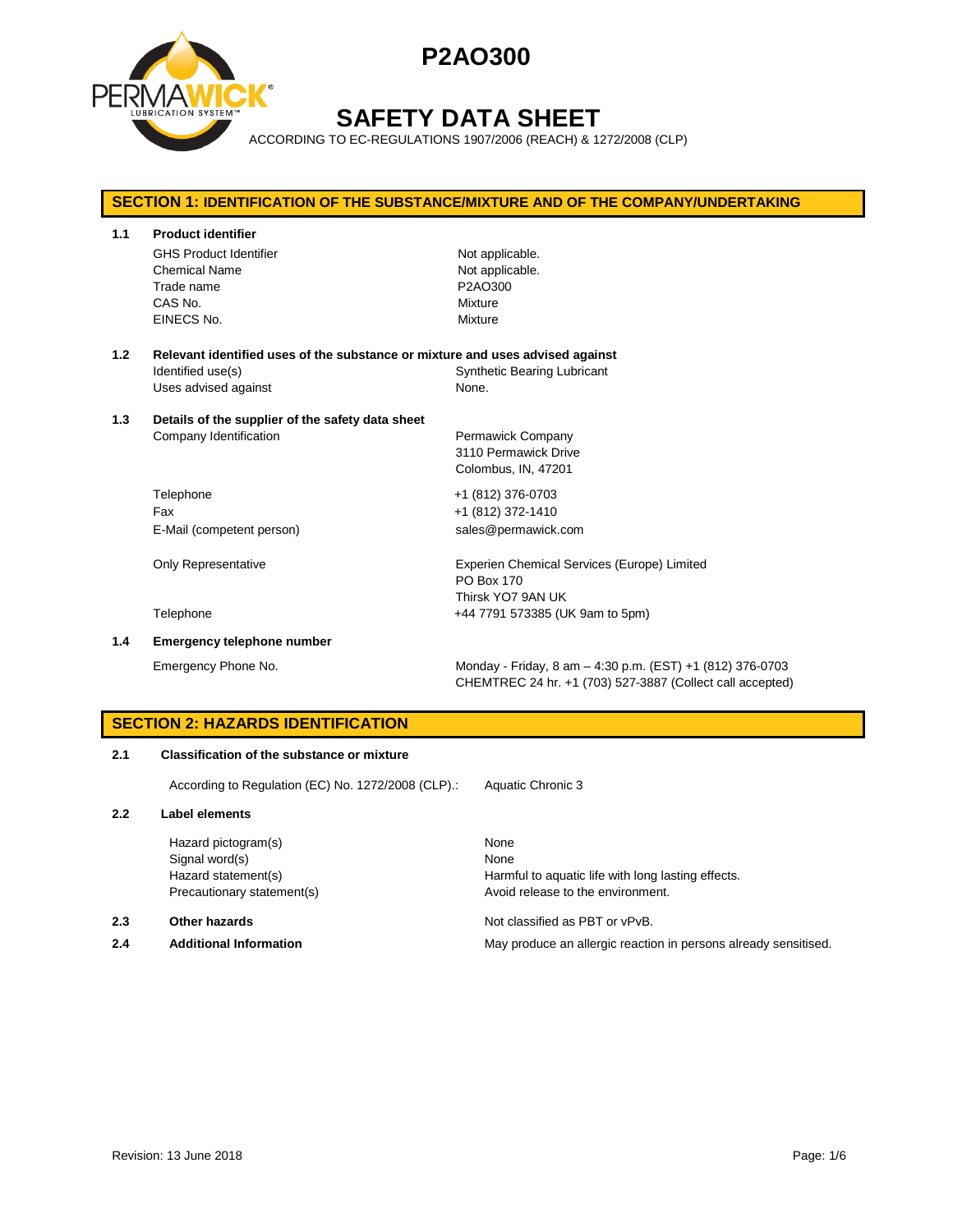



# **SAFETY DATA SHEET**

ACCORDING TO EC-REGULATIONS 1907/2006 (REACH) & 1272/2008 (CLP)

# **SECTION 1: IDENTIFICATION OF THE SUBSTANCE/MIXTURE AND OF THE COMPANY/UNDERTAKING 1.1 Product identifier** GHS Product Identifier Not applicable. Chemical Name Not applicable. Trade name **P2AO300** CAS No. Mixture EINECS No. 2008 2012 12:00 Mixture **1.2 Relevant identified uses of the substance or mixture and uses advised against** Identified use(s) The Synthetic Bearing Lubricant Uses advised against None. **1.3 Details of the supplier of the safety data sheet** Company Identification **Permawick Company** 3110 Permawick Drive Colombus, IN, 47201 Telephone +1 (812) 376-0703 Fax +1 (812) 372-1410 E-Mail (competent person) sales@permawick.com Only Representative **Experien Chemical Services (Europe)** Limited PO Box 170 Thirsk YO7 9AN UK Telephone +44 7791 573385 (UK 9am to 5pm) **1.4 Emergency telephone number** Emergency Phone No. Monday - Friday, 8 am – 4:30 p.m. (EST) +1 (812) 376-0703

## **SECTION 2: HAZARDS IDENTIFICATION**

### **2.1 Classification of the substance or mixture**

According to Regulation (EC) No. 1272/2008 (CLP).: Aquatic Chronic 3

#### **2.2 Label elements**

Hazard pictogram(s) None Signal word(s) None

### **2.3 Other hazards Detection According to the Contract Contract According Not classified as PBT or vPvB.**

Hazard statement(s) example a Harmful to aquatic life with long lasting effects. Precautionary statement(s) example a provid release to the environment.

CHEMTREC 24 hr. +1 (703) 527-3887 (Collect call accepted)

**2.4 Additional Information** May produce an allergic reaction in persons already sensitised.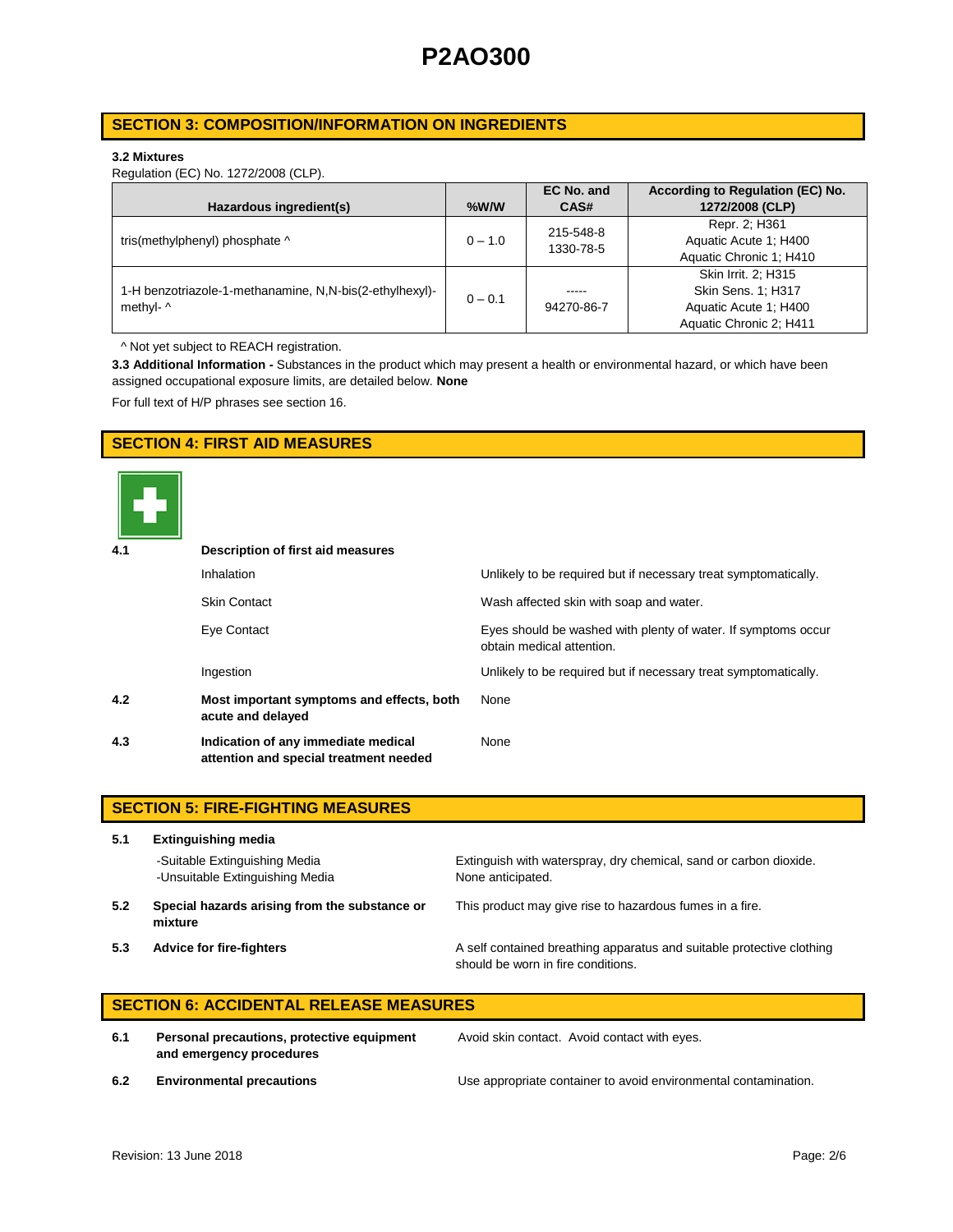## **SECTION 3: COMPOSITION/INFORMATION ON INGREDIENTS**

### **3.2 Mixtures**

Regulation (EC) No. 1272/2008 (CLP).

|                                                         |           | EC No. and | According to Regulation (EC) No. |
|---------------------------------------------------------|-----------|------------|----------------------------------|
| Hazardous ingredient(s)                                 | $%$ W/W   | CAS#       | 1272/2008 (CLP)                  |
|                                                         |           | 215-548-8  | Repr. 2; H361                    |
| tris(methylphenyl) phosphate ^                          | $0 - 1.0$ | 1330-78-5  | Aquatic Acute 1: H400            |
|                                                         |           |            | Aquatic Chronic 1; H410          |
|                                                         |           |            | Skin Irrit. 2: H315              |
| 1-H benzotriazole-1-methanamine, N,N-bis(2-ethylhexyl)- | $0 - 0.1$ | -----      | Skin Sens. 1; H317               |
| methyl- ^                                               |           | 94270-86-7 | Aquatic Acute 1: H400            |
|                                                         |           |            | Aquatic Chronic 2; H411          |

^ Not yet subject to REACH registration.

**3.3 Additional Information -** Substances in the product which may present a health or environmental hazard, or which have been assigned occupational exposure limits, are detailed below. **None**

For full text of H/P phrases see section 16.

## **SECTION 4: FIRST AID MEASURES**



| 4.1 | Description of first aid measures                                             |                                                                                            |
|-----|-------------------------------------------------------------------------------|--------------------------------------------------------------------------------------------|
|     | Inhalation                                                                    | Unlikely to be required but if necessary treat symptomatically.                            |
|     | <b>Skin Contact</b>                                                           | Wash affected skin with soap and water.                                                    |
|     | Eye Contact                                                                   | Eyes should be washed with plenty of water. If symptoms occur<br>obtain medical attention. |
|     | Ingestion                                                                     | Unlikely to be required but if necessary treat symptomatically.                            |
| 4.2 | Most important symptoms and effects, both<br>acute and delayed                | None                                                                                       |
| 4.3 | Indication of any immediate medical<br>attention and special treatment needed | None                                                                                       |

|     | <b>SECTION 5: FIRE-FIGHTING MEASURES</b>                         |                                                                                                             |  |  |  |
|-----|------------------------------------------------------------------|-------------------------------------------------------------------------------------------------------------|--|--|--|
| 5.1 | <b>Extinguishing media</b>                                       |                                                                                                             |  |  |  |
|     | -Suitable Extinguishing Media<br>-Unsuitable Extinguishing Media | Extinguish with waterspray, dry chemical, sand or carbon dioxide.<br>None anticipated.                      |  |  |  |
| 5.2 | Special hazards arising from the substance or<br>mixture         | This product may give rise to hazardous fumes in a fire.                                                    |  |  |  |
| 5.3 | Advice for fire-fighters                                         | A self contained breathing apparatus and suitable protective clothing<br>should be worn in fire conditions. |  |  |  |

# **SECTION 6: ACCIDENTAL RELEASE MEASURES**

**6.1 Personal precautions, protective equipment and emergency procedures**

Avoid skin contact. Avoid contact with eyes.

**6.2 Environmental precautions** Use appropriate container to avoid environmental contamination.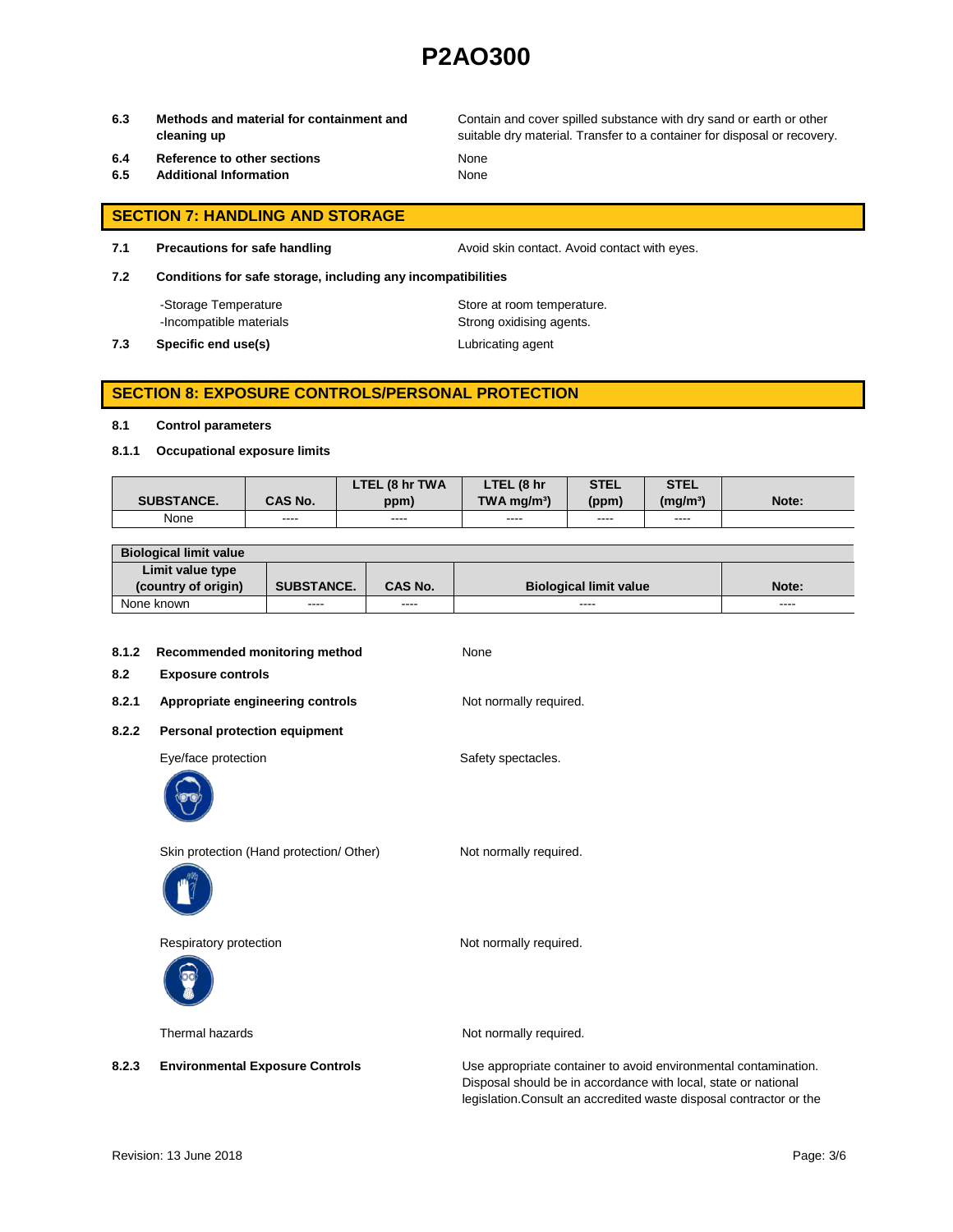**6.3 Methods and material for containment and cleaning up**

Contain and cover spilled substance with dry sand or earth or other suitable dry material. Transfer to a container for disposal or recovery.

- **6.4 Reference to other sections** None
- **6.5 Additional Information** None

- **SECTION 7: HANDLING AND STORAGE**
- **7.1 Precautions for safe handling Avoid skin contact. Avoid contact with eyes.**

**7.2 Conditions for safe storage, including any incompatibilities**

-Storage Temperature **Store at room temperature.** 

-Incompatible materials **Strong oxidising agents**.

**7.3 Specific end use(s) Lubricating agent** 

## **SECTION 8: EXPOSURE CONTROLS/PERSONAL PROTECTION**

### **8.1 Control parameters**

**8.1.1 Occupational exposure limits**

|                   |                | LTEL (8 hr TWA | LTEL (8 hr                | <b>STEL</b> | <b>STEL</b>     |       |
|-------------------|----------------|----------------|---------------------------|-------------|-----------------|-------|
| <b>SUBSTANCE.</b> | <b>CAS No.</b> | ppm)           | $TWA$ ma/m <sup>3</sup> ) | (ppm)       | $(m\alpha/m^3)$ | Note: |
| None              | ----           | ----           | ----                      | ----        | ----            |       |

| <b>Biological limit value</b> |                   |                |                               |          |
|-------------------------------|-------------------|----------------|-------------------------------|----------|
| Limit value type              |                   |                |                               |          |
| (country of origin)           | <b>SUBSTANCE.</b> | <b>CAS No.</b> | <b>Biological limit value</b> | Note:    |
| None known                    | ----              | ----           | ----                          | $\cdots$ |

| 8.1.2<br>8.2 | Recommended monitoring method<br><b>Exposure controls</b> | None                                                            |
|--------------|-----------------------------------------------------------|-----------------------------------------------------------------|
| 8.2.1        | Appropriate engineering controls                          | Not normally required.                                          |
| 8.2.2        | Personal protection equipment                             |                                                                 |
|              | Eye/face protection                                       | Safety spectacles.                                              |
|              | Skin protection (Hand protection/ Other)                  | Not normally required.                                          |
|              | Respiratory protection                                    | Not normally required.                                          |
|              | Thermal hazards                                           | Not normally required.                                          |
| 8.2.3        | <b>Environmental Exposure Controls</b>                    | Use appropriate container to avoid environmental contamination. |

Disposal should be in accordance with local, state or national legislation.Consult an accredited waste disposal contractor or the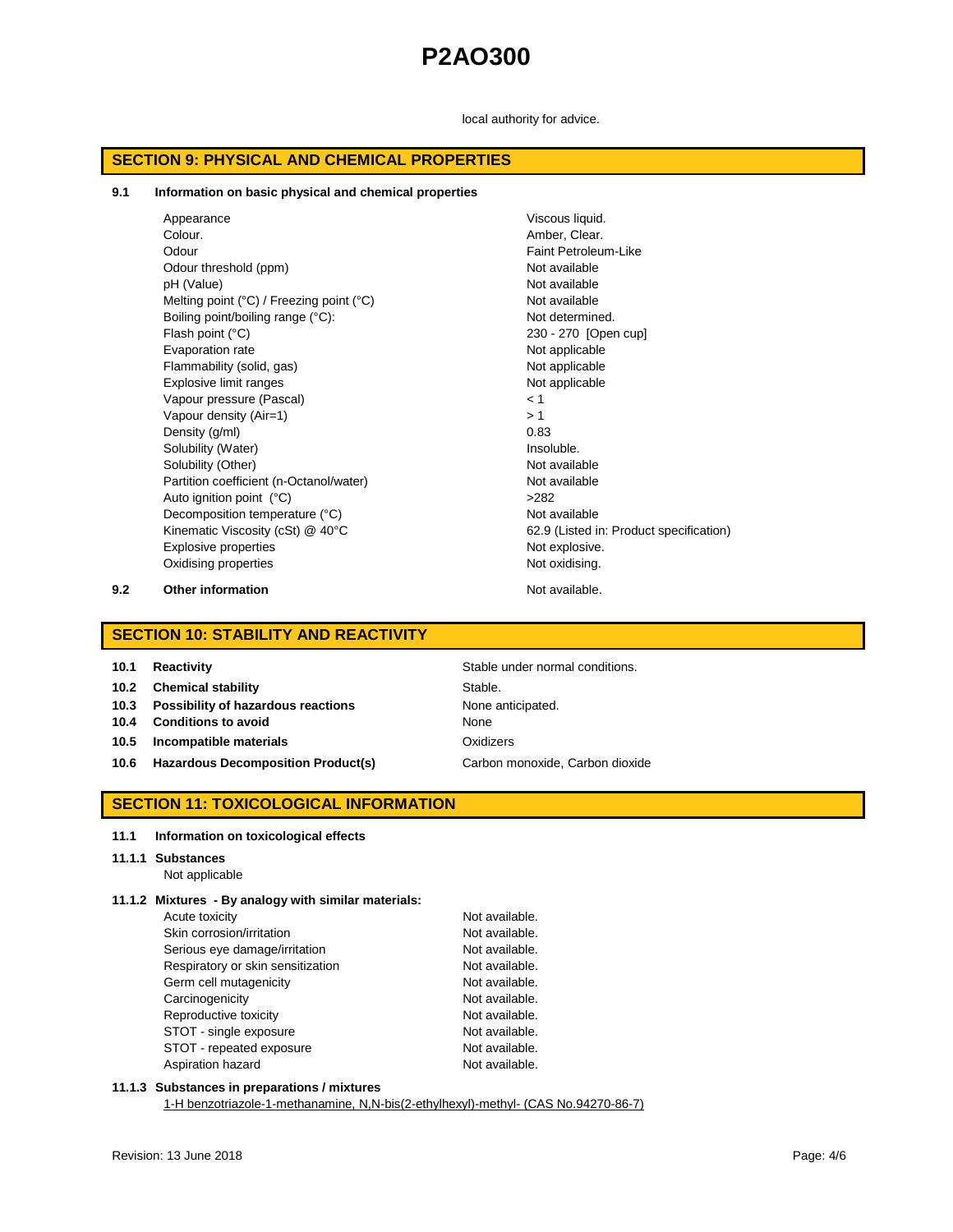local authority for advice.

## **SECTION 9: PHYSICAL AND CHEMICAL PROPERTIES**

#### **9.1 Information on basic physical and chemical properties**

| Appearance                                                 | Viscous liquid.                         |
|------------------------------------------------------------|-----------------------------------------|
| Colour.                                                    | Amber, Clear.                           |
| Odour                                                      | Faint Petroleum-Like                    |
| Odour threshold (ppm)                                      | Not available                           |
| pH (Value)                                                 | Not available                           |
| Melting point $(^{\circ}C)$ / Freezing point $(^{\circ}C)$ | Not available                           |
| Boiling point/boiling range (°C):                          | Not determined.                         |
| Flash point (°C)                                           | 230 - 270 [Open cup]                    |
| Evaporation rate                                           | Not applicable                          |
| Flammability (solid, gas)                                  | Not applicable                          |
| Explosive limit ranges                                     | Not applicable                          |
| Vapour pressure (Pascal)                                   | < 1                                     |
| Vapour density (Air=1)                                     | >1                                      |
| Density (g/ml)                                             | 0.83                                    |
| Solubility (Water)                                         | Insoluble.                              |
| Solubility (Other)                                         | Not available                           |
| Partition coefficient (n-Octanol/water)                    | Not available                           |
| Auto ignition point (°C)                                   | >282                                    |
| Decomposition temperature (°C)                             | Not available                           |
| Kinematic Viscosity (cSt) @ 40°C                           | 62.9 (Listed in: Product specification) |
| <b>Explosive properties</b>                                | Not explosive.                          |
| Oxidising properties                                       | Not oxidising.                          |
|                                                            |                                         |

**9.2 Other information Not available.** 

## **SECTION 10: STABILITY AND REACTIVITY**

| 10.1 | <b>Reactivity</b> |  |
|------|-------------------|--|
|      |                   |  |

- **10.2 Chemical stability** Stable.
- **10.3 Possibility of hazardous reactions** None anticipated.
- **10.4 Conditions to avoid** None
- **10.5 Incompatible materials** Oxidizers
- 10.6 **Hazardous Decomposition Product(s)** Carbon monoxide, Carbon dioxide

**Stable under normal conditions.** 

## **SECTION 11: TOXICOLOGICAL INFORMATION**

## **11.1 Information on toxicological effects**

## **11.1.1 Substances**

Not applicable

## **11.1.2 Mixtures - By analogy with similar materials:**

| Acute toxicity                    | Not available. |
|-----------------------------------|----------------|
| Skin corrosion/irritation         | Not available. |
| Serious eye damage/irritation     | Not available. |
| Respiratory or skin sensitization | Not available. |
| Germ cell mutagenicity            | Not available. |
| Carcinogenicity                   | Not available. |
| Reproductive toxicity             | Not available. |
| STOT - single exposure            | Not available. |
| STOT - repeated exposure          | Not available. |
| Aspiration hazard                 | Not available. |

## **11.1.3 Substances in preparations / mixtures**

1-H benzotriazole-1-methanamine, N,N-bis(2-ethylhexyl)-methyl- (CAS No.94270-86-7)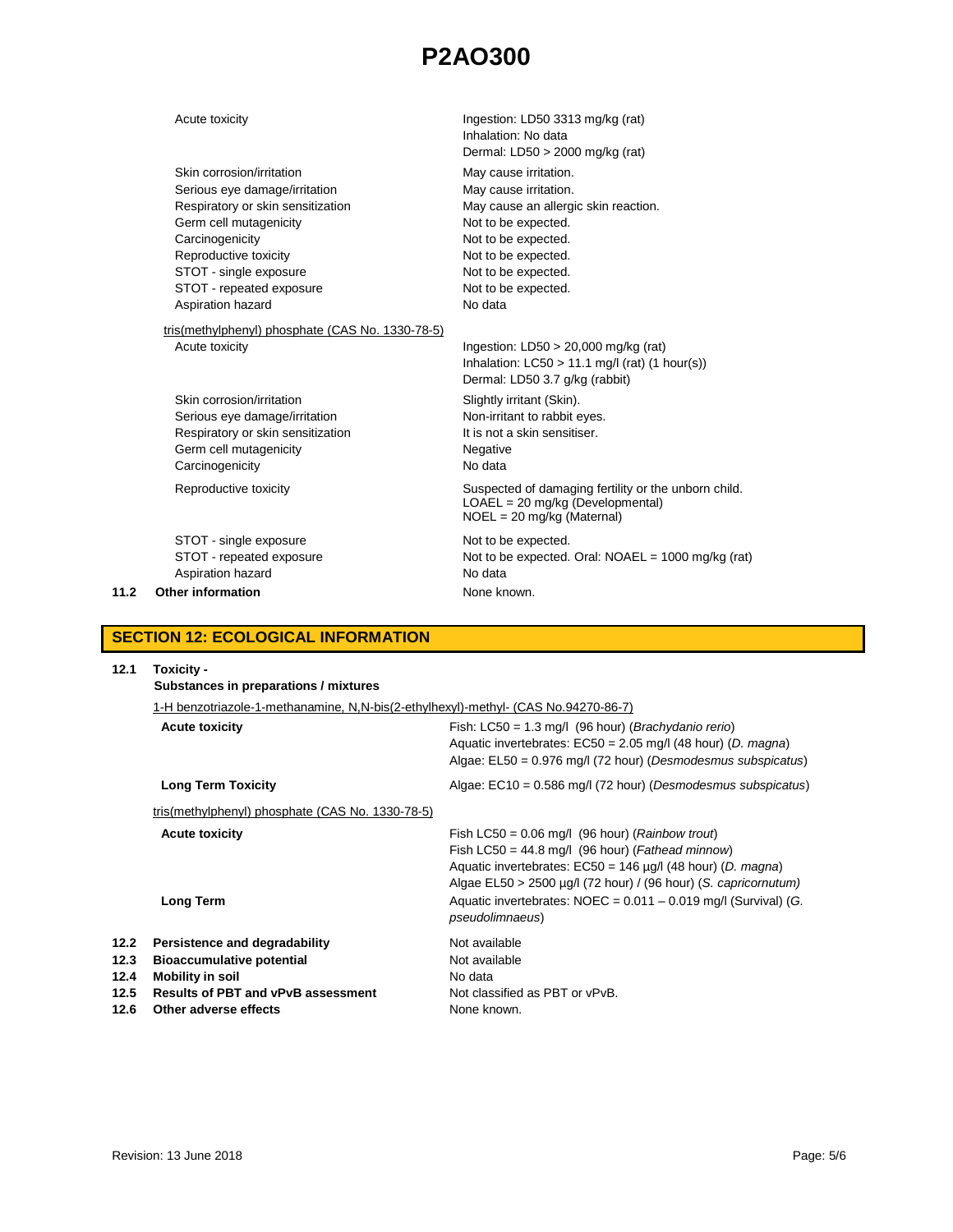|      | Acute toxicity                                                                                                                                                                                                                                   | Ingestion: LD50 3313 mg/kg (rat)<br>Inhalation: No data                                                                                                                                                                                                   |
|------|--------------------------------------------------------------------------------------------------------------------------------------------------------------------------------------------------------------------------------------------------|-----------------------------------------------------------------------------------------------------------------------------------------------------------------------------------------------------------------------------------------------------------|
|      | Skin corrosion/irritation<br>Serious eye damage/irritation<br>Respiratory or skin sensitization<br>Germ cell mutagenicity<br>Carcinogenicity<br>Reproductive toxicity<br>STOT - single exposure<br>STOT - repeated exposure<br>Aspiration hazard | Dermal: $LD50 > 2000$ mg/kg (rat)<br>May cause irritation.<br>May cause irritation.<br>May cause an allergic skin reaction.<br>Not to be expected.<br>Not to be expected.<br>Not to be expected.<br>Not to be expected.<br>Not to be expected.<br>No data |
|      | tris(methylphenyl) phosphate (CAS No. 1330-78-5)<br>Acute toxicity<br>Skin corrosion/irritation<br>Serious eye damage/irritation<br>Respiratory or skin sensitization<br>Germ cell mutagenicity<br>Carcinogenicity                               | Ingestion: $LD50 > 20,000$ mg/kg (rat)<br>Inhalation: $LC50 > 11.1$ mg/l (rat) (1 hour(s))<br>Dermal: LD50 3.7 g/kg (rabbit)<br>Slightly irritant (Skin).<br>Non-irritant to rabbit eyes.<br>It is not a skin sensitiser.<br>Negative<br>No data          |
|      | Reproductive toxicity                                                                                                                                                                                                                            | Suspected of damaging fertility or the unborn child.<br>$LOAEL = 20$ mg/kg (Developmental)<br>$NOEL = 20$ mg/kg (Maternal)                                                                                                                                |
| 11.2 | STOT - single exposure<br>STOT - repeated exposure<br>Aspiration hazard<br>Other information                                                                                                                                                     | Not to be expected.<br>Not to be expected. Oral: $NOAEL = 1000$ mg/kg (rat)<br>No data<br>None known.                                                                                                                                                     |

# **SECTION 12: ECOLOGICAL INFORMATION**

| 12.1                                 | Toxicity -<br>Substances in preparations / mixtures                                                                                                         |                                                                                                                                                                                                                                                            |  |  |
|--------------------------------------|-------------------------------------------------------------------------------------------------------------------------------------------------------------|------------------------------------------------------------------------------------------------------------------------------------------------------------------------------------------------------------------------------------------------------------|--|--|
|                                      | 1-H benzotriazole-1-methanamine, N,N-bis(2-ethylhexyl)-methyl- (CAS No.94270-86-7)                                                                          |                                                                                                                                                                                                                                                            |  |  |
|                                      | <b>Acute toxicity</b>                                                                                                                                       | Fish: $LC50 = 1.3$ mg/l (96 hour) ( <i>Brachydanio rerio</i> )<br>Aquatic invertebrates: $EC50 = 2.05$ mg/l (48 hour) (D. magna)<br>Algae: $E L50 = 0.976$ mg/l (72 hour) (Desmodesmus subspicatus)                                                        |  |  |
|                                      | <b>Long Term Toxicity</b>                                                                                                                                   | Algae: $EC10 = 0.586$ mg/l (72 hour) (Desmodesmus subspicatus)                                                                                                                                                                                             |  |  |
|                                      | tris(methylphenyl) phosphate (CAS No. 1330-78-5)                                                                                                            |                                                                                                                                                                                                                                                            |  |  |
|                                      | <b>Acute toxicity</b>                                                                                                                                       | Fish LC50 = $0.06$ mg/l (96 hour) ( <i>Rainbow trout</i> )<br>Fish LC50 = 44.8 mg/l (96 hour) (Fathead minnow)<br>Aquatic invertebrates: $EC50 = 146 \mu g/l$ (48 hour) (D. magna)<br>Algae $EL50 > 2500 \mu g/l$ (72 hour) / (96 hour) (S. capricornutum) |  |  |
|                                      | <b>Long Term</b>                                                                                                                                            | Aquatic invertebrates: $NOEC = 0.011 - 0.019$ mg/l (Survival) (G.<br><i>pseudolimnaeus</i> )                                                                                                                                                               |  |  |
| 12.2<br>12.3<br>12.4<br>12.5<br>12.6 | Persistence and degradability<br><b>Bioaccumulative potential</b><br>Mobility in soil<br><b>Results of PBT and vPvB assessment</b><br>Other adverse effects | Not available<br>Not available<br>No data<br>Not classified as PBT or vPvB.<br>None known.                                                                                                                                                                 |  |  |